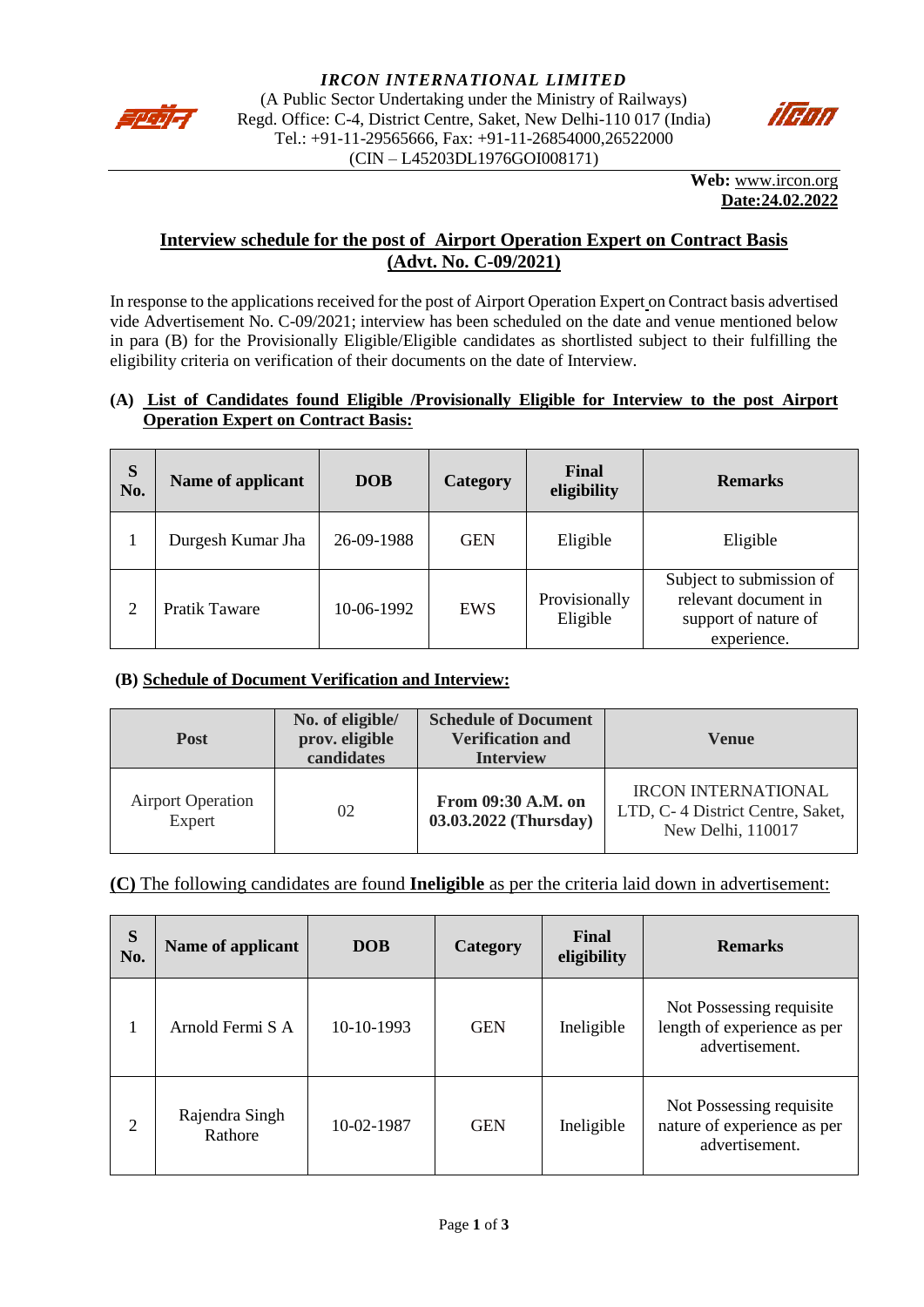



**Web:** [www.ircon.org](http://www.ircon.org/) **Date:24.02.2022**

# **Interview schedule for the post of Airport Operation Expert on Contract Basis (Advt. No. C-09/2021)**

In response to the applications received for the post of Airport Operation Expert on Contract basis advertised vide Advertisement No. C-09/2021; interview has been scheduled on the date and venue mentioned below in para (B) for the Provisionally Eligible/Eligible candidates as shortlisted subject to their fulfilling the eligibility criteria on verification of their documents on the date of Interview.

#### **(A) List of Candidates found Eligible /Provisionally Eligible for Interview to the post Airport Operation Expert on Contract Basis:**

| S<br>No.       | Name of applicant    | <b>DOB</b> | Category   | Final<br>eligibility      | <b>Remarks</b>                                                                          |
|----------------|----------------------|------------|------------|---------------------------|-----------------------------------------------------------------------------------------|
|                | Durgesh Kumar Jha    | 26-09-1988 | <b>GEN</b> | Eligible                  | Eligible                                                                                |
| $\overline{2}$ | <b>Pratik Taware</b> | 10-06-1992 | EWS        | Provisionally<br>Eligible | Subject to submission of<br>relevant document in<br>support of nature of<br>experience. |

# **(B) Schedule of Document Verification and Interview:**

| <b>Post</b>                        | No. of eligible/<br>prov. eligible<br>candidates | <b>Schedule of Document</b><br><b>Verification and</b><br><b>Interview</b> | <b>Venue</b>                                                                        |
|------------------------------------|--------------------------------------------------|----------------------------------------------------------------------------|-------------------------------------------------------------------------------------|
| <b>Airport Operation</b><br>Expert | 02                                               | From 09:30 A.M. on<br>03.03.2022 (Thursday)                                | <b>IRCON INTERNATIONAL</b><br>LTD, C-4 District Centre, Saket,<br>New Delhi, 110017 |

# **(C)** The following candidates are found **Ineligible** as per the criteria laid down in advertisement:

| S<br>No.       | Name of applicant         | <b>DOB</b> | <b>Category</b> | Final<br>eligibility | <b>Remarks</b>                                                            |
|----------------|---------------------------|------------|-----------------|----------------------|---------------------------------------------------------------------------|
| 1              | Arnold Fermi S A          | 10-10-1993 | <b>GEN</b>      | Ineligible           | Not Possessing requisite<br>length of experience as per<br>advertisement. |
| $\overline{2}$ | Rajendra Singh<br>Rathore | 10-02-1987 | <b>GEN</b>      | Ineligible           | Not Possessing requisite<br>nature of experience as per<br>advertisement. |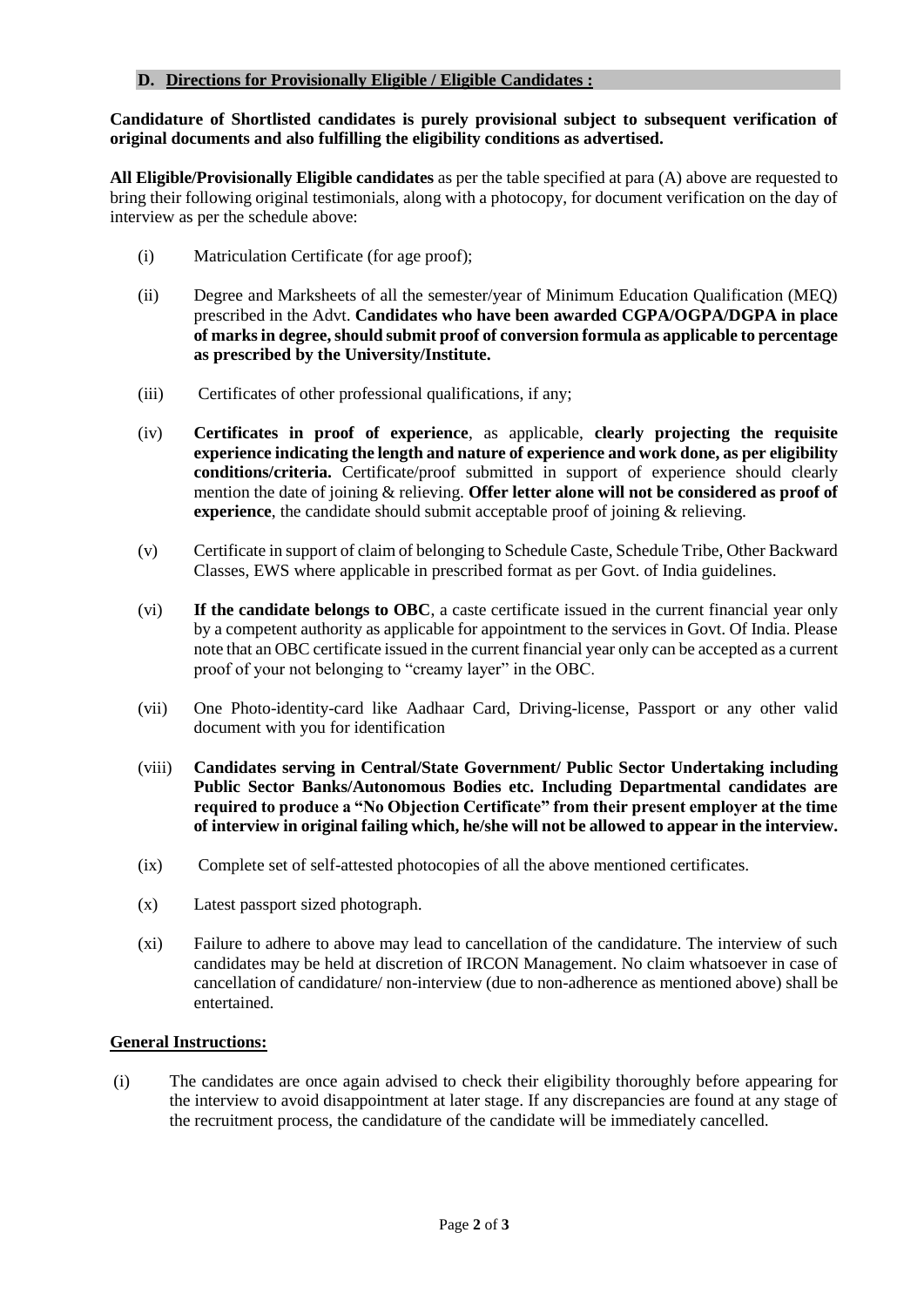#### **D. Directions for Provisionally Eligible / Eligible Candidates :**

**Candidature of Shortlisted candidates is purely provisional subject to subsequent verification of original documents and also fulfilling the eligibility conditions as advertised.** 

**All Eligible/Provisionally Eligible candidates** as per the table specified at para (A) above are requested to bring their following original testimonials, along with a photocopy, for document verification on the day of interview as per the schedule above:

- (i) Matriculation Certificate (for age proof);
- (ii) Degree and Marksheets of all the semester/year of Minimum Education Qualification (MEQ) prescribed in the Advt. **Candidates who have been awarded CGPA/OGPA/DGPA in place of marks in degree, should submit proof of conversion formula as applicable to percentage as prescribed by the University/Institute.**
- (iii) Certificates of other professional qualifications, if any;
- (iv) **Certificates in proof of experience**, as applicable, **clearly projecting the requisite experience indicating the length and nature of experience and work done, as per eligibility conditions/criteria.** Certificate/proof submitted in support of experience should clearly mention the date of joining & relieving. **Offer letter alone will not be considered as proof of experience**, the candidate should submit acceptable proof of joining & relieving.
- (v) Certificate in support of claim of belonging to Schedule Caste, Schedule Tribe, Other Backward Classes, EWS where applicable in prescribed format as per Govt. of India guidelines.
- (vi) **If the candidate belongs to OBC**, a caste certificate issued in the current financial year only by a competent authority as applicable for appointment to the services in Govt. Of India. Please note that an OBC certificate issued in the current financial year only can be accepted as a current proof of your not belonging to "creamy layer" in the OBC.
- (vii) One Photo-identity-card like Aadhaar Card, Driving-license, Passport or any other valid document with you for identification
- (viii) **Candidates serving in Central/State Government/ Public Sector Undertaking including Public Sector Banks/Autonomous Bodies etc. Including Departmental candidates are required to produce a "No Objection Certificate" from their present employer at the time of interview in original failing which, he/she will not be allowed to appear in the interview.**
- (ix) Complete set of self-attested photocopies of all the above mentioned certificates.
- (x) Latest passport sized photograph.
- (xi) Failure to adhere to above may lead to cancellation of the candidature. The interview of such candidates may be held at discretion of IRCON Management. No claim whatsoever in case of cancellation of candidature/ non-interview (due to non-adherence as mentioned above) shall be entertained.

#### **General Instructions:**

(i) The candidates are once again advised to check their eligibility thoroughly before appearing for the interview to avoid disappointment at later stage. If any discrepancies are found at any stage of the recruitment process, the candidature of the candidate will be immediately cancelled.